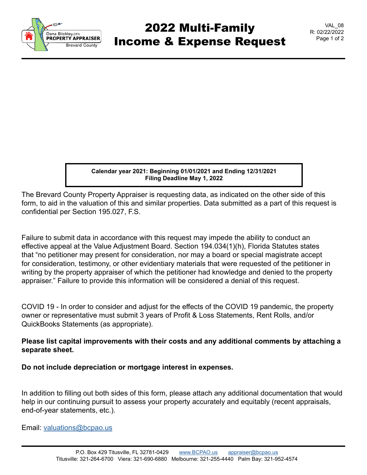

## 2022 Multi-Family Income & Expense Request

VAL\_08 R: 02/22/2022 Page 1 of 2

**Calendar year 2021: Beginning 01/01/2021 and Ending 12/31/2021 Filing Deadline May 1, 2022**

The Brevard County Property Appraiser is requesting data, as indicated on the other side of this form, to aid in the valuation of this and similar properties. Data submitted as a part of this request is confidential per Section 195.027, F.S.

Failure to submit data in accordance with this request may impede the ability to conduct an effective appeal at the Value Adjustment Board. Section 194.034(1)(h), Florida Statutes states that "no petitioner may present for consideration, nor may a board or special magistrate accept for consideration, testimony, or other evidentiary materials that were requested of the petitioner in writing by the property appraiser of which the petitioner had knowledge and denied to the property appraiser." Failure to provide this information will be considered a denial of this request.

COVID 19 - In order to consider and adjust for the effects of the COVID 19 pandemic, the property owner or representative must submit 3 years of Profit & Loss Statements, Rent Rolls, and/or QuickBooks Statements (as appropriate).

## **Please list capital improvements with their costs and any additional comments by attaching a separate sheet.**

**Do not include depreciation or mortgage interest in expenses.**

In addition to filling out both sides of this form, please attach any additional documentation that would help in our continuing pursuit to assess your property accurately and equitably (recent appraisals, end-of-year statements, etc.).

Email: [valuations@bcpao.us](mailto: valuations@bcpao.us)